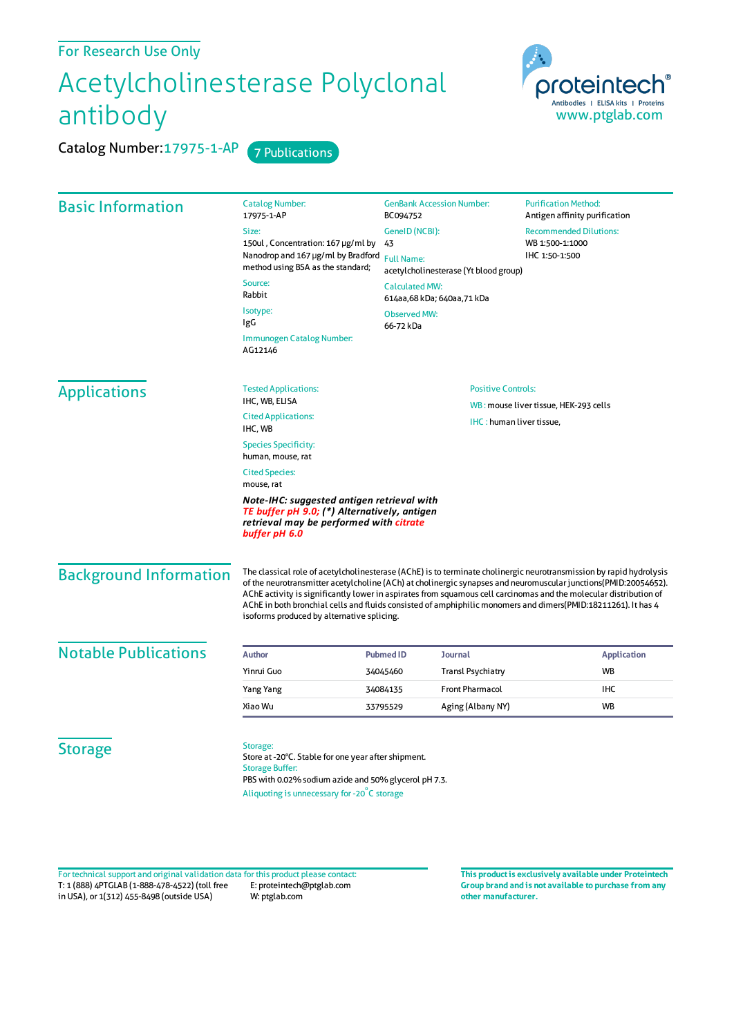## Acetylcholinesterase Polyclonal antibody

Catalog Number: 17975-1-AP 7 Publications

proteinted Antibodies | ELISA kits | Proteins www.ptglab.com

| <b>Basic Information</b>      | <b>Catalog Number:</b><br>17975-1-AP                                                                                                                                                                                                                                                                                                                                                                                                                                                                                       | <b>GenBank Accession Number:</b><br>BC094752        | <b>Purification Method:</b><br>Antigen affinity purification |  |
|-------------------------------|----------------------------------------------------------------------------------------------------------------------------------------------------------------------------------------------------------------------------------------------------------------------------------------------------------------------------------------------------------------------------------------------------------------------------------------------------------------------------------------------------------------------------|-----------------------------------------------------|--------------------------------------------------------------|--|
|                               | Size:                                                                                                                                                                                                                                                                                                                                                                                                                                                                                                                      | GeneID (NCBI):                                      | <b>Recommended Dilutions:</b>                                |  |
|                               | 150ul, Concentration: 167 µg/ml by                                                                                                                                                                                                                                                                                                                                                                                                                                                                                         | 43                                                  | WB 1:500-1:1000                                              |  |
|                               | Nanodrop and 167 µg/ml by Bradford<br>method using BSA as the standard;                                                                                                                                                                                                                                                                                                                                                                                                                                                    | <b>Full Name:</b>                                   | IHC 1:50-1:500                                               |  |
|                               | Source:                                                                                                                                                                                                                                                                                                                                                                                                                                                                                                                    | acetylcholinesterase (Yt blood group)               |                                                              |  |
|                               | Rabbit                                                                                                                                                                                                                                                                                                                                                                                                                                                                                                                     | <b>Calculated MW:</b><br>614aa,68 kDa; 640aa,71 kDa |                                                              |  |
|                               | Isotype:<br>IgG                                                                                                                                                                                                                                                                                                                                                                                                                                                                                                            | <b>Observed MW:</b><br>66-72 kDa                    |                                                              |  |
|                               | Immunogen Catalog Number:<br>AG12146                                                                                                                                                                                                                                                                                                                                                                                                                                                                                       |                                                     |                                                              |  |
| <b>Applications</b>           | <b>Tested Applications:</b>                                                                                                                                                                                                                                                                                                                                                                                                                                                                                                | <b>Positive Controls:</b>                           |                                                              |  |
|                               | IHC, WB, ELISA                                                                                                                                                                                                                                                                                                                                                                                                                                                                                                             |                                                     | WB: mouse liver tissue, HEK-293 cells                        |  |
|                               | <b>Cited Applications:</b><br>IHC, WB                                                                                                                                                                                                                                                                                                                                                                                                                                                                                      | IHC: human liver tissue,                            |                                                              |  |
|                               | <b>Species Specificity:</b><br>human, mouse, rat                                                                                                                                                                                                                                                                                                                                                                                                                                                                           |                                                     |                                                              |  |
|                               | <b>Cited Species:</b><br>mouse, rat                                                                                                                                                                                                                                                                                                                                                                                                                                                                                        |                                                     |                                                              |  |
|                               | Note-IHC: suggested antigen retrieval with<br>TE buffer pH 9.0; (*) Alternatively, antigen<br>retrieval may be performed with citrate<br>buffer pH 6.0                                                                                                                                                                                                                                                                                                                                                                     |                                                     |                                                              |  |
| <b>Background Information</b> | The classical role of acetylcholinesterase (AChE) is to terminate cholinergic neurotransmission by rapid hydrolysis<br>of the neurotransmitter acetylcholine (ACh) at cholinergic synapses and neuromuscular junctions(PMID:20054652).<br>AChE activity is significantly lower in aspirates from squamous cell carcinomas and the molecular distribution of<br>AChE in both bronchial cells and fluids consisted of amphiphilic monomers and dimers(PMID:18211261). It has 4<br>isoforms produced by alternative splicing. |                                                     |                                                              |  |
| <b>Notable Publications</b>   | <b>Author</b>                                                                                                                                                                                                                                                                                                                                                                                                                                                                                                              | <b>Pubmed ID</b><br><b>Journal</b>                  | <b>Application</b>                                           |  |
|                               | Yinrui Guo                                                                                                                                                                                                                                                                                                                                                                                                                                                                                                                 | <b>Transl Psychiatry</b><br>34045460                | <b>WB</b>                                                    |  |
|                               | Yang Yang                                                                                                                                                                                                                                                                                                                                                                                                                                                                                                                  | <b>Front Pharmacol</b><br>34084135                  | <b>IHC</b>                                                   |  |
|                               | Xiao Wu                                                                                                                                                                                                                                                                                                                                                                                                                                                                                                                    | Aging (Albany NY)<br>33795529                       | <b>WB</b>                                                    |  |
| <b>Storage</b>                | Storage:<br>Store at -20°C. Stable for one year after shipment.<br><b>Storage Buffer:</b><br>PBS with 0.02% sodium azide and 50% glycerol pH 7.3.                                                                                                                                                                                                                                                                                                                                                                          |                                                     |                                                              |  |

T: 1 (888) 4PTGLAB (1-888-478-4522) (toll free in USA), or 1(312) 455-8498 (outside USA) E: proteintech@ptglab.com W: ptglab.com Fortechnical support and original validation data forthis product please contact: **This productis exclusively available under Proteintech**

**Group brand and is not available to purchase from any other manufacturer.**